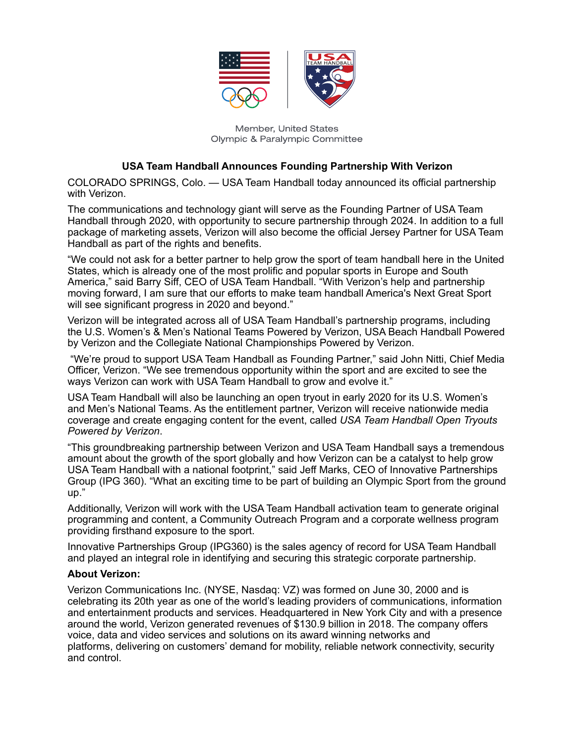

Member, United States **Olympic & Paralympic Committee** 

## **USA Team Handball Announces Founding Partnership With Verizon**

COLORADO SPRINGS, Colo. — USA Team Handball today announced its official partnership with Verizon.

The communications and technology giant will serve as the Founding Partner of USA Team Handball through 2020, with opportunity to secure partnership through 2024. In addition to a full package of marketing assets, Verizon will also become the official Jersey Partner for USA Team Handball as part of the rights and benefits.

"We could not ask for a better partner to help grow the sport of team handball here in the United States, which is already one of the most prolific and popular sports in Europe and South America," said Barry Siff, CEO of USA Team Handball. "With Verizon's help and partnership moving forward, I am sure that our efforts to make team handball America's Next Great Sport will see significant progress in 2020 and beyond."

Verizon will be integrated across all of USA Team Handball's partnership programs, including the U.S. Women's & Men's National Teams Powered by Verizon, USA Beach Handball Powered by Verizon and the Collegiate National Championships Powered by Verizon.

"We're proud to support USA Team Handball as Founding Partner," said John Nitti, Chief Media Officer, Verizon. "We see tremendous opportunity within the sport and are excited to see the ways Verizon can work with USA Team Handball to grow and evolve it."

USA Team Handball will also be launching an open tryout in early 2020 for its U.S. Women's and Men's National Teams. As the entitlement partner, Verizon will receive nationwide media coverage and create engaging content for the event, called *USA Team Handball Open Tryouts Powered by Verizon*.

"This groundbreaking partnership between Verizon and USA Team Handball says a tremendous amount about the growth of the sport globally and how Verizon can be a catalyst to help grow USA Team Handball with a national footprint," said Jeff Marks, CEO of Innovative Partnerships Group (IPG 360). "What an exciting time to be part of building an Olympic Sport from the ground up."

Additionally, Verizon will work with the USA Team Handball activation team to generate original programming and content, a Community Outreach Program and a corporate wellness program providing firsthand exposure to the sport.

Innovative Partnerships Group (IPG360) is the sales agency of record for USA Team Handball and played an integral role in identifying and securing this strategic corporate partnership.

## **About Verizon:**

Verizon Communications Inc. (NYSE, Nasdaq: VZ) was formed on June 30, 2000 and is celebrating its 20th year as one of the world's leading providers of communications, information and entertainment products and services. Headquartered in New York City and with a presence around the world, Verizon generated revenues of \$130.9 billion in 2018. The company offers voice, data and video services and solutions on its award winning networks and platforms, delivering on customers' demand for mobility, reliable network connectivity, security and control.